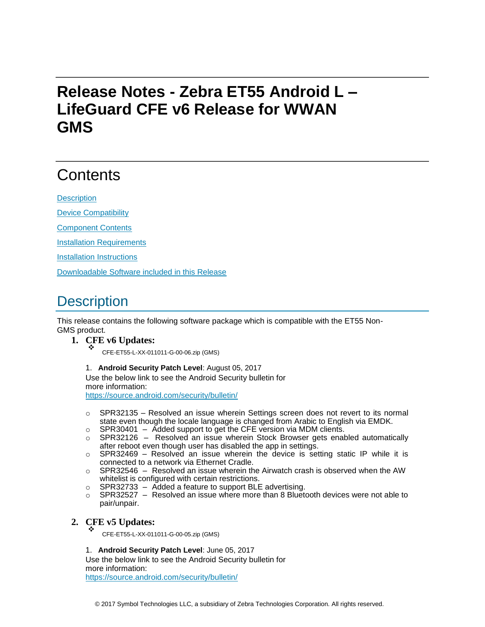# <span id="page-0-0"></span>**Release Notes - Zebra ET55 Android L – LifeGuard CFE v6 Release for WWAN GMS**

# **Contents**

**[Description](#page-0-0)** 

[Device Compatibility](#page-1-0)

[Component Contents](#page-1-0)

[Installation Requirements](#page-1-0)

[Installation Instructions](#page-1-0)

[Downloadable Software included in this Release](#page-4-0)

# **Description**

This release contains the following software package which is compatible with the ET55 Non-GMS product.

# **1. CFE v6 Updates:** ❖

CFE-ET55-L-XX-011011-G-00-06.zip (GMS)

#### 1. **Android Security Patch Level**: August 05, 2017

Use the below link to see the Android Security bulletin for more information: <https://source.android.com/security/bulletin/>

- $\circ$  SPR32135 Resolved an issue wherein Settings screen does not revert to its normal state even though the locale language is changed from Arabic to English via EMDK.
- $\circ$  SPR30401 Added support to get the CFE version via MDM clients.
- $\circ$  SPR32126 Resolved an issue wherein Stock Browser gets enabled automatically after reboot even though user has disabled the app in settings.
- $\circ$  SPR32469 Resolved an issue wherein the device is setting static IP while it is connected to a network via Ethernet Cradle.
- $\circ$  SPR32546 Resolved an issue wherein the Airwatch crash is observed when the AW whitelist is configured with certain restrictions.
- o SPR32733 Added a feature to support BLE advertising.
- $\circ$  SPR32527 Resolved an issue where more than 8 Bluetooth devices were not able to pair/unpair.

# **2. CFE v5 Updates:** ❖

CFE-ET55-L-XX-011011-G-00-05.zip (GMS)

1. **Android Security Patch Level**: June 05, 2017

Use the below link to see the Android Security bulletin for more information: <https://source.android.com/security/bulletin/>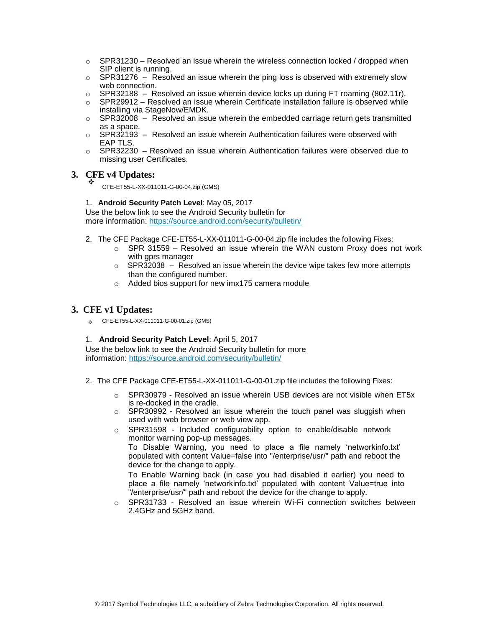- $\circ$  SPR31230 Resolved an issue wherein the wireless connection locked / dropped when SIP client is running.
- $\circ$  SPR31276 Resolved an issue wherein the ping loss is observed with extremely slow web connection.
- $\circ$  SPR32188 Resolved an issue wherein device locks up during FT roaming (802.11r).
- $\circ$  SPR29912 Resolved an issue wherein Certificate installation failure is observed while installing via StageNow/EMDK.
- $\circ$  SPR32008 Resolved an issue wherein the embedded carriage return gets transmitted as a space.
- $\circ$  SPR32193 Resolved an issue wherein Authentication failures were observed with EAP TLS.
- $\circ$  SPR32230 Resolved an issue wherein Authentication failures were observed due to missing user Certificates.

#### **3. CFE v4 Updates:** ❖

CFE-ET55-L-XX-011011-G-00-04.zip (GMS)

#### 1. **Android Security Patch Level**: May 05, 2017

Use the below link to see the Android Security bulletin for more information:<https://source.android.com/security/bulletin/>

- 2. The CFE Package CFE-ET55-L-XX-011011-G-00-04.zip file includes the following Fixes:
	- $\circ$  SPR 31559 Resolved an issue wherein the WAN custom Proxy does not work with gprs manager
	- $\circ$  SPR32038 Resolved an issue wherein the device wipe takes few more attempts than the configured number.
	- o Added bios support for new imx175 camera module

#### **3. CFE v1 Updates:**

❖ CFE-ET55-L-XX-011011-G-00-01.zip (GMS)

#### 1. **Android Security Patch Level**: April 5, 2017

Use the below link to see the Android Security bulletin for more information:<https://source.android.com/security/bulletin/>

- <span id="page-1-0"></span>2. The CFE Package CFE-ET55-L-XX-011011-G-00-01.zip file includes the following Fixes:
	- $\circ$  SPR30979 Resolved an issue wherein USB devices are not visible when ET5x is re-docked in the cradle.
	- $\circ$  SPR30992 Resolved an issue wherein the touch panel was sluggish when used with web browser or web view app.
	- o SPR31598 Included configurability option to enable/disable network monitor warning pop-up messages.

To Disable Warning, you need to place a file namely 'networkinfo.txt' populated with content Value=false into "/enterprise/usr/" path and reboot the device for the change to apply.

To Enable Warning back (in case you had disabled it earlier) you need to place a file namely 'networkinfo.txt' populated with content Value=true into "/enterprise/usr/" path and reboot the device for the change to apply.

o SPR31733 - Resolved an issue wherein Wi-Fi connection switches between 2.4GHz and 5GHz band.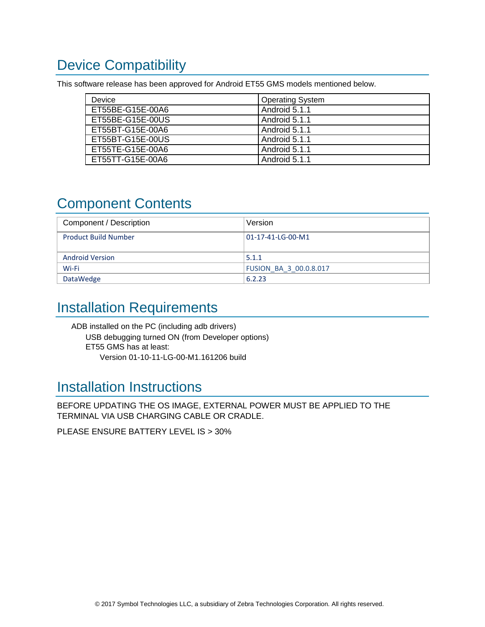# Device Compatibility

This software release has been approved for Android ET55 GMS models mentioned below.

| Device           | <b>Operating System</b> |
|------------------|-------------------------|
| ET55BE-G15E-00A6 | Android 5.1.1           |
| ET55BE-G15E-00US | Android 5.1.1           |
| ET55BT-G15E-00A6 | Android 5.1.1           |
| ET55BT-G15E-00US | Android 5.1.1           |
| ET55TE-G15E-00A6 | Android 5.1.1           |
| ET55TT-G15E-00A6 | Android 5.1.1           |

# Component Contents

| Component / Description     | Version                       |
|-----------------------------|-------------------------------|
| <b>Product Build Number</b> | 01-17-41-LG-00-M1             |
| <b>Android Version</b>      | 5.1.1                         |
| Wi-Fi                       | <b>FUSION BA 3 00.0.8.017</b> |
| <b>DataWedge</b>            | 6.2.23                        |

# Installation Requirements

ADB installed on the PC (including adb drivers) USB debugging turned ON (from Developer options) ET55 GMS has at least: Version 01-10-11-LG-00-M1.161206 build

### Installation Instructions

BEFORE UPDATING THE OS IMAGE, EXTERNAL POWER MUST BE APPLIED TO THE TERMINAL VIA USB CHARGING CABLE OR CRADLE.

PLEASE ENSURE BATTERY LEVEL IS > 30%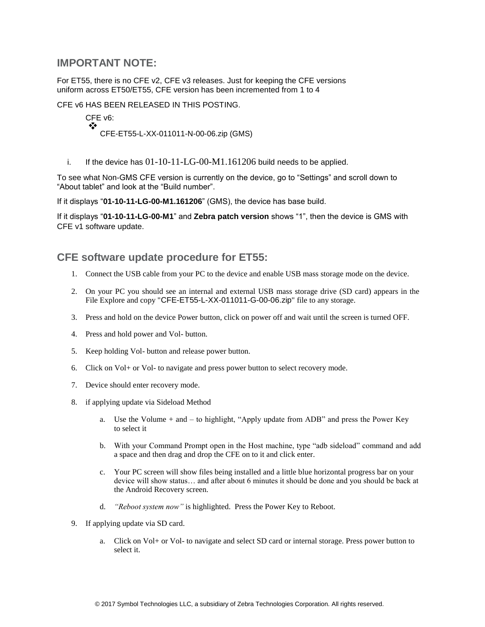### **IMPORTANT NOTE:**

For ET55, there is no CFE v2, CFE v3 releases. Just for keeping the CFE versions uniform across ET50/ET55, CFE version has been incremented from 1 to 4

CFE v6 HAS BEEN RELEASED IN THIS POSTING.

CFE v6: ❖ CFE-ET55-L-XX-011011-N-00-06.zip (GMS)

i. If the device has  $01-10-11-LG-00-M1.161206$  build needs to be applied.

To see what Non-GMS CFE version is currently on the device, go to "Settings" and scroll down to "About tablet" and look at the "Build number".

If it displays "**01-10-11-LG-00-M1.161206**" (GMS), the device has base build.

If it displays "**01-10-11-LG-00-M1**" and **Zebra patch version** shows "1", then the device is GMS with CFE v1 software update.

### **CFE software update procedure for ET55:**

- 1. Connect the USB cable from your PC to the device and enable USB mass storage mode on the device.
- 2. On your PC you should see an internal and external USB mass storage drive (SD card) appears in the File Explore and copy "CFE-ET55-L-XX-011011-G-00-06.zip" file to any storage.
- 3. Press and hold on the device Power button, click on power off and wait until the screen is turned OFF.
- 4. Press and hold power and Vol- button.
- 5. Keep holding Vol- button and release power button.
- 6. Click on Vol+ or Vol- to navigate and press power button to select recovery mode.
- 7. Device should enter recovery mode.
- 8. if applying update via Sideload Method
	- a. Use the Volume + and to highlight, "Apply update from ADB" and press the Power Key to select it
	- b. With your Command Prompt open in the Host machine, type "adb sideload" command and add a space and then drag and drop the CFE on to it and click enter.
	- c. Your PC screen will show files being installed and a little blue horizontal progress bar on your device will show status… and after about 6 minutes it should be done and you should be back at the Android Recovery screen.
	- d. *"Reboot system now"* is highlighted. Press the Power Key to Reboot.
- 9. If applying update via SD card.
	- a. Click on Vol+ or Vol- to navigate and select SD card or internal storage. Press power button to select it.